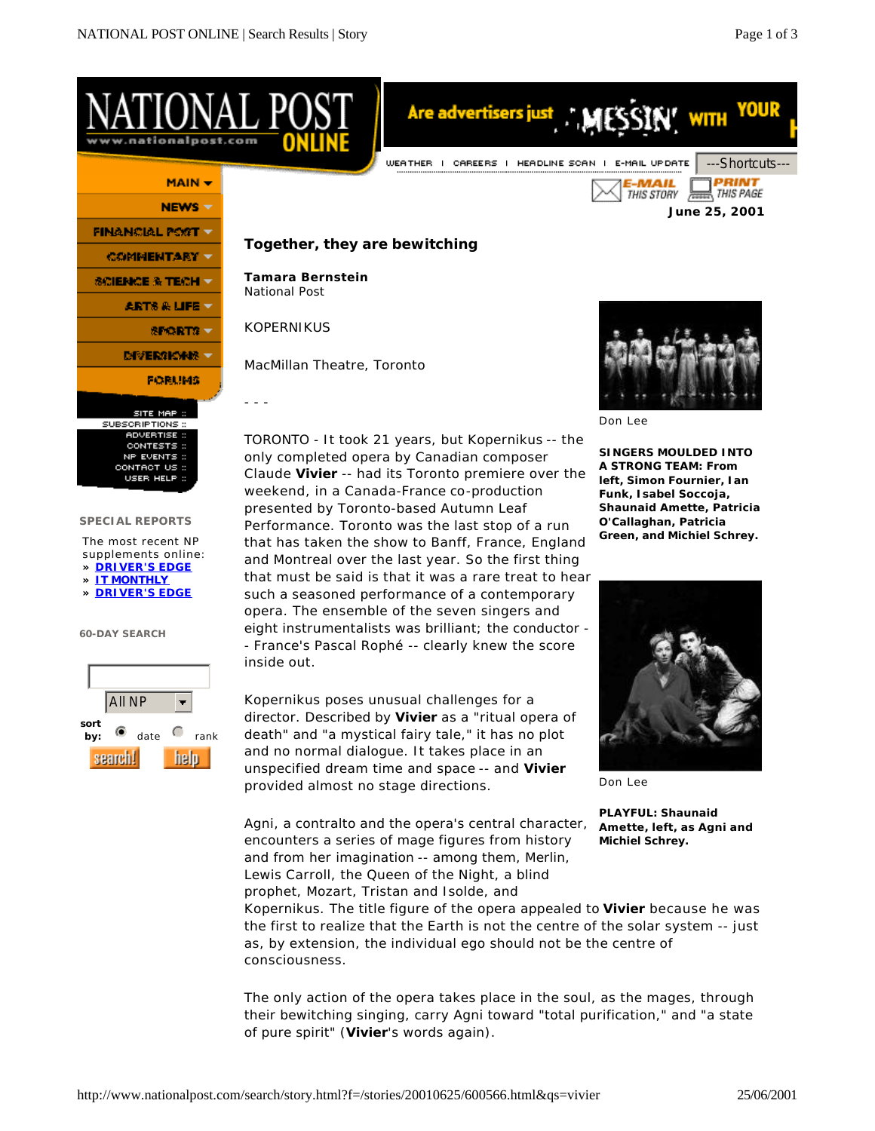

All NP  $\overline{\phantom{a}}$ **sort by:**  $\bullet$  date  $\bullet$  rank help. search!

Kopernikus poses unusual challenges for a director. Described by **Vivier** as a "ritual opera of death" and "a mystical fairy tale," it has no plot and no normal dialogue. It takes place in an unspecified dream time and space -- and **Vivier** provided almost no stage directions.

Agni, a contralto and the opera's central character, encounters a series of mage figures from history and from her imagination -- among them, Merlin, Lewis Carroll, the Queen of the Night, a blind prophet, Mozart, Tristan and Isolde, and



Don Lee

**PLAYFUL: Shaunaid Amette, left, as Agni and Michiel Schrey.**

Kopernikus. The title figure of the opera appealed to **Vivier** because he was the first to realize that the Earth is not the centre of the solar system -- just as, by extension, the individual ego should not be the centre of consciousness.

The only action of the opera takes place in the soul, as the mages, through their bewitching singing, carry Agni toward "total purification," and "a state of pure spirit" (**Vivier**'s words again).